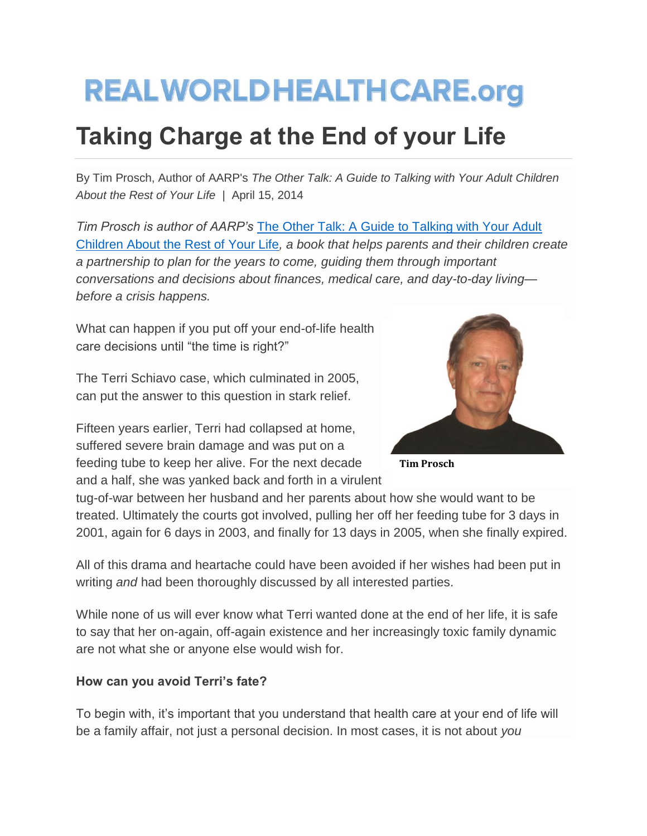# **REALWORLDHEALTHCARE.org**

# **Taking Charge at the End of your Life**

By Tim Prosch, Author of AARP's *The Other Talk: A Guide to Talking with Your Adult Children About the Rest of Your Life* | April 15, 2014

*Tim Prosch is author of AARP's* [The Other Talk: A Guide to Talking with Your Adult](http://theothertalk.com/)  [Children About the Rest of Your Life](http://theothertalk.com/)*, a book that helps parents and their children create a partnership to plan for the years to come, guiding them through important conversations and decisions about finances, medical care, and day-to-day living before a crisis happens.* 

What can happen if you put off your end-of-life health care decisions until "the time is right?"

The Terri Schiavo case, which culminated in 2005, can put the answer to this question in stark relief.

Fifteen years earlier, Terri had collapsed at home, suffered severe brain damage and was put on a feeding tube to keep her alive. For the next decade and a half, she was yanked back and forth in a virulent



**Tim Prosch**

tug-of-war between her husband and her parents about how she would want to be treated. Ultimately the courts got involved, pulling her off her feeding tube for 3 days in 2001, again for 6 days in 2003, and finally for 13 days in 2005, when she finally expired.

All of this drama and heartache could have been avoided if her wishes had been put in writing *and* had been thoroughly discussed by all interested parties.

While none of us will ever know what Terri wanted done at the end of her life, it is safe to say that her on-again, off-again existence and her increasingly toxic family dynamic are not what she or anyone else would wish for.

## **How can you avoid Terri's fate?**

To begin with, it's important that you understand that health care at your end of life will be a family affair, not just a personal decision. In most cases, it is not about *you*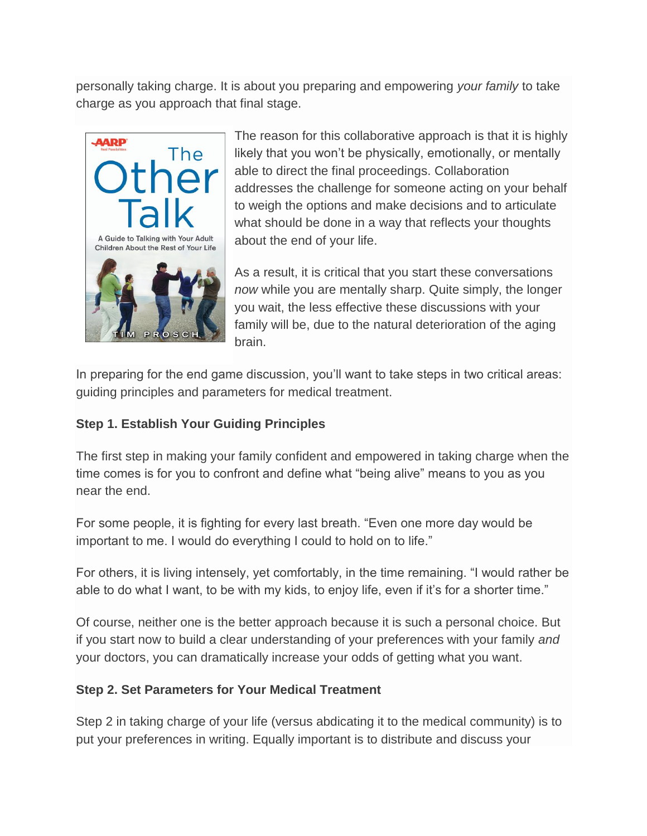personally taking charge. It is about you preparing and empowering *your family* to take charge as you approach that final stage.



The reason for this collaborative approach is that it is highly likely that you won't be physically, emotionally, or mentally able to direct the final proceedings. Collaboration addresses the challenge for someone acting on your behalf to weigh the options and make decisions and to articulate what should be done in a way that reflects your thoughts about the end of your life.

As a result, it is critical that you start these conversations *now* while you are mentally sharp. Quite simply, the longer you wait, the less effective these discussions with your family will be, due to the natural deterioration of the aging brain.

In preparing for the end game discussion, you'll want to take steps in two critical areas: guiding principles and parameters for medical treatment.

### **Step 1. Establish Your Guiding Principles**

The first step in making your family confident and empowered in taking charge when the time comes is for you to confront and define what "being alive" means to you as you near the end.

For some people, it is fighting for every last breath. "Even one more day would be important to me. I would do everything I could to hold on to life."

For others, it is living intensely, yet comfortably, in the time remaining. "I would rather be able to do what I want, to be with my kids, to enjoy life, even if it's for a shorter time."

Of course, neither one is the better approach because it is such a personal choice. But if you start now to build a clear understanding of your preferences with your family *and*  your doctors, you can dramatically increase your odds of getting what you want.

#### **Step 2. Set Parameters for Your Medical Treatment**

Step 2 in taking charge of your life (versus abdicating it to the medical community) is to put your preferences in writing. Equally important is to distribute and discuss your